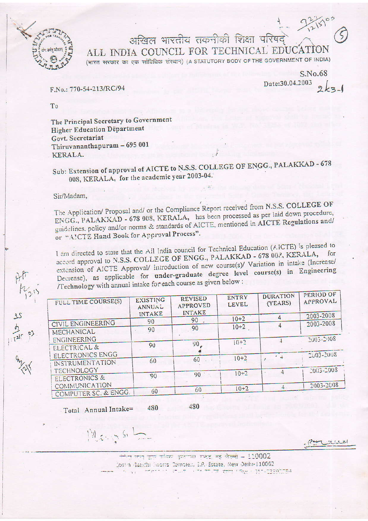

अखिल भारतीय तकनीकी शिक्षा परिषद ALL INDIA COUNCIL FOR TECHNICAL EDUCATION

(भारत सरकार का एक सांविधिक संस्थान) (A STATUTORY BODY OF THE GOVERNMENT OF INDIA)

 $S$ <sub>No.68</sub> Date:30.04.2003

F.No.: 770-54-213/RC/94

T<sub>0</sub>

The Principal Secretary to Government Higher Education Department Govt. Secretariat Thiruvananthapuram - 695 001 KERALA.

Sub: Extension of approval of AICTE to N.S.S. COLLEGE OF ENGG., PALAKKAD - 678 008, KERALA, for the academic year 2003-04.

## Sir/Madam,

 $rac{25}{121}$  es

The Application/ Proposal and/ or the Compliance Report received from N.S.S. COLLEGE OF ENGG., PALAKKAD - 678 008, KERALA, has been processed as per laid down procedure, guidelines. policy and/or norms & standards of AICTE, mentioned in AICTE Regulations and/ or "AICTE Hand Book for Approval Process".

I am directed to state that the All India council for Technical Education (AICTE) is pleased to accord approval to N.S.S. COLLEGE OF ENGG., PALAKKAD - 678 002, KERALA, extension of AICTE Approval/ introduction of new course(s)/ Variation in intake (Increase/ Decrease), as applicable for under-graduate degree level course(s) in Engineering /Technology with annual intake for each course as given below :

| FULL TIME COURSE(S)      | <b>EXISTING</b><br>ANNUAL | <b>REVISED</b><br><b>APPROVED</b><br><b>INTAKE</b> | <b>ENTRY</b><br><b>LEVEL</b> | <b>DURATION</b><br>(YEARS) | PERIOD OF<br>APPROVAL |
|--------------------------|---------------------------|----------------------------------------------------|------------------------------|----------------------------|-----------------------|
|                          | <b>INTAKE</b>             | 90                                                 | $10+2$                       |                            | 2003-2008             |
| CIVIL ENGINEERING        | 90                        |                                                    |                              |                            | 2003-2008             |
| MECHANICAL               | 90                        | 90                                                 | $10+2$                       |                            |                       |
| ENGINEERING              | 90                        | 90                                                 | $10+2$                       |                            | 2003-2008             |
| ELECTRICAL &             |                           |                                                    |                              |                            |                       |
| ELECTRONICS ENGG         |                           |                                                    | $10+2$                       | $\sim$ $-$                 | $2003 - 2008$         |
| INSTRUMENTATION          | 60                        | 60                                                 |                              |                            |                       |
| <b>TECHNOLOGY</b>        |                           |                                                    |                              |                            | 2003-2008             |
| <b>ELECTRONICS &amp;</b> | 90                        | 90                                                 | $10+2$                       |                            |                       |
| <b>COMMUNICATION</b>     |                           |                                                    |                              |                            | 2003-2008             |
| COMPUTER SC. & ENGG.     | 60                        | 60                                                 | $10+2$                       |                            |                       |

480 480 Total Annual Intake=

 $M_{4.55}$  5

स्तित कथा जाय करेंद्रक इन्सान्था गर्माट, नई जिल्ली – 110002 Indira Bandhi Soorts Complett, E.P. Estate, New Delhi-110002 <u> 2007 - 1988 - 11 - 1330 154</u>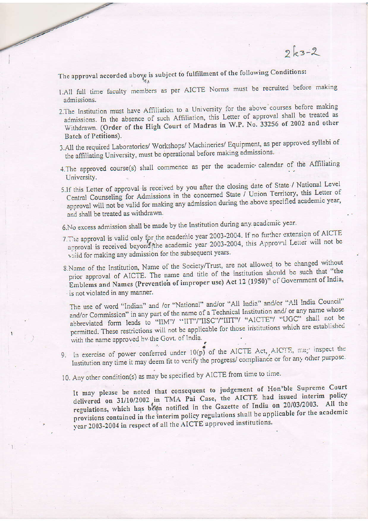The approval accorded above is subject to fulfillment of the following Conditions:

The same of the contract of the contract of the contract of the contract of the contract of the contract of the contract of the contract of the contract of the contract of the contract of the contract of the contract of th

- 1.All full time faculty members as per AICTE Norms must be recruited before making admissions.
- 2. The Institution must have Affiliation to a University for the above courses before making admissions. In the absence of such Affiliation, this Letter of approval shall be treated as Withdrawn. (Order of the High Court of Madras in W.P. No. 33256 of 2002 and other Batch of Petitions).
- 3.All the required Laboratories/ Workshops/ Machineries/ Equipment, as per approved syllabi of the affiliating University, must be operational before making admissions.
- 4. The approved course(s) shall commence as per the academic calendar of the Affiliating University.
- 5.If this Letter of approval is received by you after the closing date of State / National Level Central Counseling for Admissions in the concerned State / Union Territory, this Letter of approval will not be valid for making any admission during the above specified academic year, and shall be treated as withdrawn.
- 6. No excess admission shall be made by the Institution during any academic year.
- 7. The approval is valid only for the academic year 2003-2004. If no further extension of AICTE approval is received beyond the academic year 2003-2004, this Approval Letter will not be vaild for making any admission for the subsequent years.
- 8.Name of the Institution, Name of the Society/Trust, are not allowed to be changed without prior approval of AICTE. The name and title of the institution should be such that "the Emblems and Names (Prevention of improper use) Act 12 (1950)" of Government of India, is not violated in any manner.

The use of word "Indian" and /or "National" and/or "All India" and/or "All India Council" and/or Commission" in any part of the name of a Technical Institution and/ or any name whose abbreviated form leads to "IIM"/ "IIT"/"IISC"/"IIIT"/ "AICTE"/ "UGC" shall not be permitted. These restrictions will not be applicable for those institutions which are established with the name approved by the Govt. of India.

- 9. In exercise of power conferred under 10(p) of the AICTE Act, AICTE, may inspect the Institution any time it may deem fit to verify the progress/compliance or for any other purpose.
- 10. Any other condition(s) as may be specified by AICTE from time to time.

It may please be noted that consequent to judgement of Hon'ble Supreme Court delivered on 31/10/2002 in TMA Pai Case, the AICTE had issued interim policy regulations, which has been notified in the Gazette of India on 20/03/2003. All the provisions contained in the interim policy regulations shall be applicable for the academic year 2003-2004 in respect of all the AICTE approved institutions.